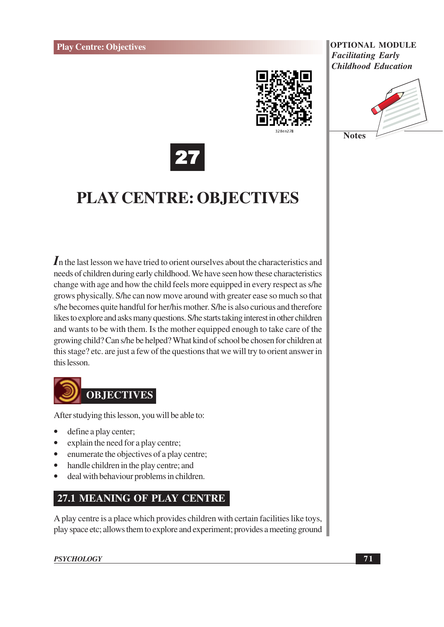





# **PLAY CENTRE: OBJECTIVES**

In the last lesson we have tried to orient ourselves about the characteristics and needs of children during early childhood. We have seen how these characteristics change with age and how the child feels more equipped in every respect as s/he grows physically. S/he can now move around with greater ease so much so that s/he becomes quite handful for her/his mother. S/he is also curious and therefore likes to explore and asks many questions. S/he starts taking interest in other children and wants to be with them. Is the mother equipped enough to take care of the growing child? Can s/he be helped? What kind of school be chosen for children at this stage? etc. are just a few of the questions that we will try to orient answer in this lesson.



After studying this lesson, you will be able to:

- define a play center;
- explain the need for a play centre;
- enumerate the objectives of a play centre;  $\bullet$
- handle children in the play centre; and  $\bullet$
- deal with behaviour problems in children.

### **27.1 MEANING OF PLAY CENTRE**

A play centre is a place which provides children with certain facilities like toys, play space etc; allows them to explore and experiment; provides a meeting ground

**PSYCHOLOGY**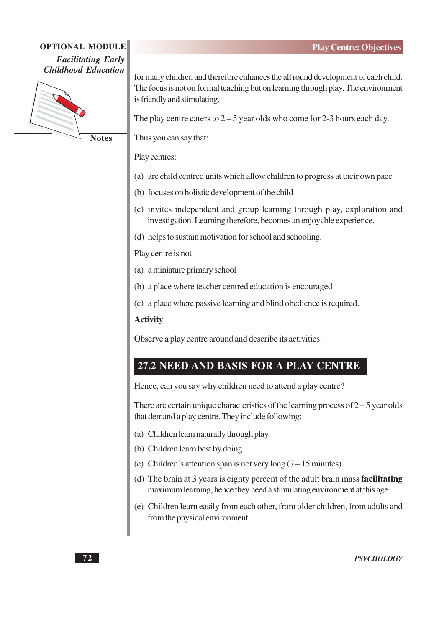### **OPTIONAL MODULE Facilitating Early Childhood Education**



**Notes** 

for many children and therefore enhances the all round development of each child. The focus is not on formal teaching but on learning through play. The environment is friendly and stimulating.

The play centre caters to  $2 - 5$  year olds who come for 2-3 hours each day.

Thus you can say that:

Play centres:

- (a) are child centred units which allow children to progress at their own pace
- (b) focuses on holistic development of the child
- (c) invites independent and group learning through play, exploration and investigation. Learning therefore, becomes an enjoyable experience.
- (d) helps to sustain motivation for school and schooling.

Play centre is not

- (a) a miniature primary school
- (b) a place where teacher centred education is encouraged
- (c) a place where passive learning and blind obedience is required.

#### **Activity**

Observe a play centre around and describe its activities.

### 27.2 NEED AND BASIS FOR A PLAY CENTRE

Hence, can you say why children need to attend a play centre?

There are certain unique characteristics of the learning process of  $2-5$  year olds that demand a play centre. They include following:

- (a) Children learn naturally through play
- (b) Children learn best by doing
- (c) Children's attention span is not very long  $(7-15 \text{ minutes})$
- (d) The brain at 3 years is eighty percent of the adult brain mass facilitating maximum learning, hence they need a stimulating environment at this age.
- (e) Children learn easily from each other, from older children, from adults and from the physical environment.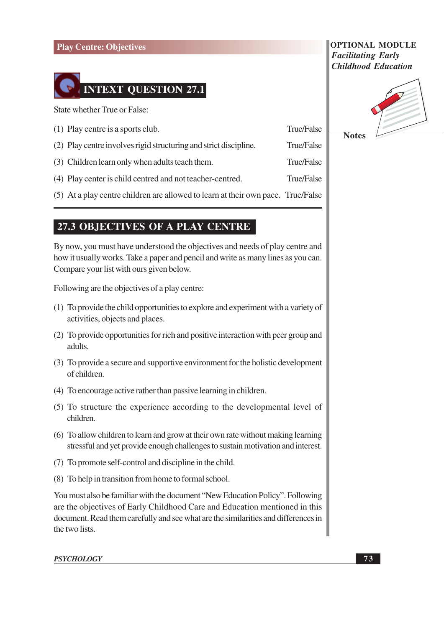

State whether True or False:

| (1) Play centre is a sports club.                                                | True/False |
|----------------------------------------------------------------------------------|------------|
| (2) Play centre involves rigid structuring and strict discipline.                | True/False |
| (3) Children learn only when adults teach them.                                  | True/False |
| (4) Play center is child centred and not teacher-centred.                        | True/False |
| (5) At a play centre children are allowed to learn at their own pace. True/False |            |
|                                                                                  |            |

### **27.3 OBJECTIVES OF A PLAY CENTRE**

By now, you must have understood the objectives and needs of play centre and how it usually works. Take a paper and pencil and write as many lines as you can. Compare your list with ours given below.

Following are the objectives of a play centre:

- (1) To provide the child opportunities to explore and experiment with a variety of activities, objects and places.
- (2) To provide opportunities for rich and positive interaction with peer group and adults.
- (3) To provide a secure and supportive environment for the holistic development of children.
- (4) To encourage active rather than passive learning in children.
- (5) To structure the experience according to the developmental level of children.
- (6) To allow children to learn and grow at their own rate without making learning stressful and yet provide enough challenges to sustain motivation and interest.
- (7) To promote self-control and discipline in the child.
- (8) To help in transition from home to formal school.

You must also be familiar with the document "New Education Policy". Following are the objectives of Early Childhood Care and Education mentioned in this document. Read them carefully and see what are the similarities and differences in the two lists.

**PSYCHOLOGY** 

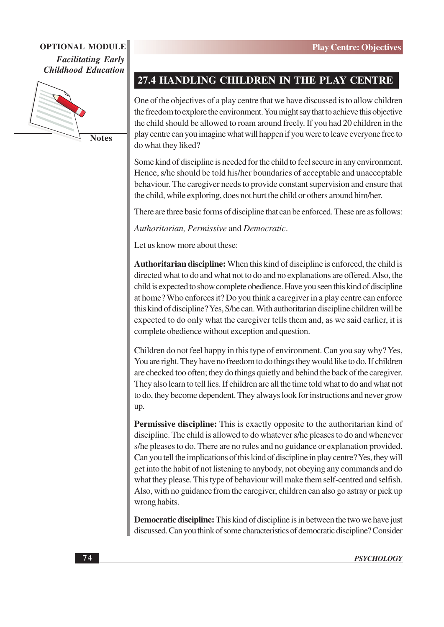

**Notes** 

### 27.4 HANDLING CHILDREN IN THE PLAY CENTRE

One of the objectives of a play centre that we have discussed is to allow children the freedom to explore the environment. You might say that to achieve this objective the child should be allowed to roam around freely. If you had 20 children in the play centre can you imagine what will happen if you were to leave everyone free to do what they liked?

Some kind of discipline is needed for the child to feel secure in any environment. Hence, s/he should be told his/her boundaries of acceptable and unacceptable behaviour. The caregiver needs to provide constant supervision and ensure that the child, while exploring, does not hurt the child or others around him/her.

There are three basic forms of discipline that can be enforced. These are as follows:

Authoritarian. Permissive and Democratic.

Let us know more about these:

Authoritarian discipline: When this kind of discipline is enforced, the child is directed what to do and what not to do and no explanations are offered. Also, the child is expected to show complete obedience. Have you seen this kind of discipline at home? Who enforces it? Do you think a caregiver in a play centre can enforce this kind of discipline? Yes, S/he can. With authoritarian discipline children will be expected to do only what the caregiver tells them and, as we said earlier, it is complete obedience without exception and question.

Children do not feel happy in this type of environment. Can you say why? Yes, You are right. They have no freedom to do things they would like to do. If children are checked too often; they do things quietly and behind the back of the caregiver. They also learn to tell lies. If children are all the time told what to do and what not to do, they become dependent. They always look for instructions and never grow  $up.$ 

**Permissive discipline:** This is exactly opposite to the authoritarian kind of discipline. The child is allowed to do whatever s/he pleases to do and whenever s/he pleases to do. There are no rules and no guidance or explanation provided. Can you tell the implications of this kind of discipline in play centre? Yes, they will get into the habit of not listening to anybody, not obeying any commands and do what they please. This type of behaviour will make them self-centred and selfish. Also, with no guidance from the caregiver, children can also go astray or pick up wrong habits.

**Democratic discipline:** This kind of discipline is in between the two we have just discussed. Can you think of some characteristics of democratic discipline? Consider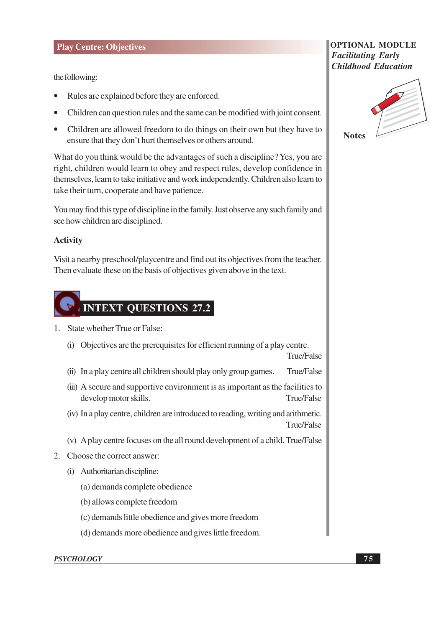the following:

- Rules are explained before they are enforced.
- Children can question rules and the same can be modified with joint consent.
- Children are allowed freedom to do things on their own but they have to ensure that they don't hurt themselves or others around.

What do you think would be the advantages of such a discipline? Yes, you are right, children would learn to obey and respect rules, develop confidence in themselves, learn to take initiative and work independently. Children also learn to take their turn, cooperate and have patience.

You may find this type of discipline in the family. Just observe any such family and see how children are disciplined.

#### **Activity**

Visit a nearby preschool/playcentre and find out its objectives from the teacher. Then evaluate these on the basis of objectives given above in the text.



- 1. State whether True or False:
	- (i) Objectives are the prerequisites for efficient running of a play centre.

True/False

- (ii) In a play centre all children should play only group games. True/False
- (iii) A secure and supportive environment is as important as the facilities to develop motor skills. True/False
- (iv) In a play centre, children are introduced to reading, writing and arithmetic. True/False
- (v) A play centre focuses on the all round development of a child. True/False
- 2. Choose the correct answer:
	- (i) Authoritarian discipline:
		- (a) demands complete obedience
		- (b) allows complete freedom
		- (c) demands little obedience and gives more freedom
		- (d) demands more obedience and gives little freedom.

#### **PSYCHOLOGY**

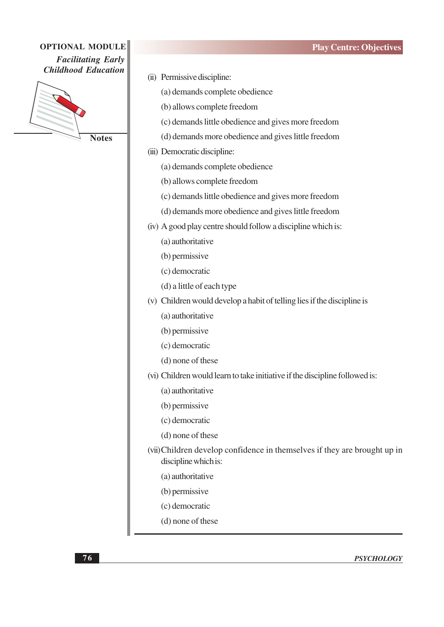

**Notes** 

- (ii) Permissive discipline: (a) demands complete obedience (b) allows complete freedom (c) demands little obedience and gives more freedom (d) demands more obedience and gives little freedom (iii) Democratic discipline: (a) demands complete obedience (b) allows complete freedom (c) demands little obedience and gives more freedom (d) demands more obedience and gives little freedom (iv) A good play centre should follow a discipline which is: (a) authoritative (b) permissive (c) democratic (d) a little of each type (v) Children would develop a habit of telling lies if the discipline is (a) authoritative (b) permissive (c) democratic (d) none of these (vi) Children would learn to take initiative if the discipline followed is: (a) authoritative (b) permissive (c) democratic (d) none of these (vii) Children develop confidence in themselves if they are brought up in discipline which is: (a) authoritative (b) permissive (c) democratic
	- (d) none of these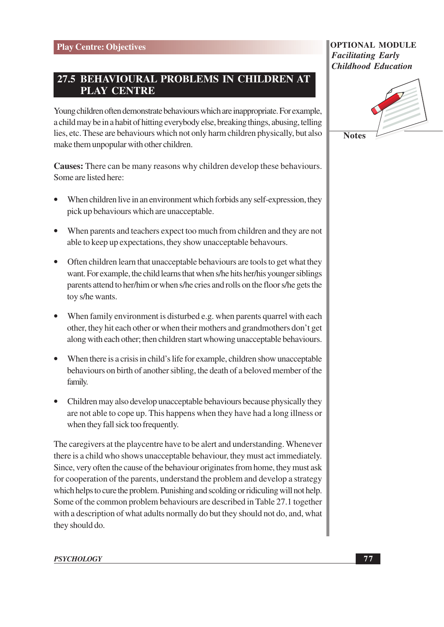### 27.5 BEHAVIOURAL PROBLEMS IN CHILDREN AT **PLAY CENTRE**

Young children often demonstrate behaviours which are inappropriate. For example, a child may be in a habit of hitting everybody else, breaking things, abusing, telling lies, etc. These are behaviours which not only harm children physically, but also make them unpopular with other children.

**Causes:** There can be many reasons why children develop these behaviours. Some are listed here:

- When children live in an environment which forbids any self-expression, they pick up behaviours which are unacceptable.
- When parents and teachers expect too much from children and they are not able to keep up expectations, they show unacceptable behavours.
- Often children learn that unacceptable behaviours are tools to get what they want. For example, the child learns that when s/he hits her/his younger siblings parents attend to her/him or when s/he cries and rolls on the floor s/he gets the toy s/he wants.
- When family environment is disturbed e.g. when parents quarrel with each other, they hit each other or when their mothers and grandmothers don't get along with each other; then children start whowing unacceptable behaviours.
- When there is a crisis in child's life for example, children show unacceptable behaviours on birth of another sibling, the death of a beloved member of the family.
- Children may also develop unacceptable behaviours because physically they are not able to cope up. This happens when they have had a long illness or when they fall sick too frequently.

The caregivers at the playcentre have to be alert and understanding. Whenever there is a child who shows unacceptable behaviour, they must act immediately. Since, very often the cause of the behaviour originates from home, they must ask for cooperation of the parents, understand the problem and develop a strategy which helps to cure the problem. Punishing and scolding or ridiculing will not help. Some of the common problem behaviours are described in Table 27.1 together with a description of what adults normally do but they should not do, and, what they should do.

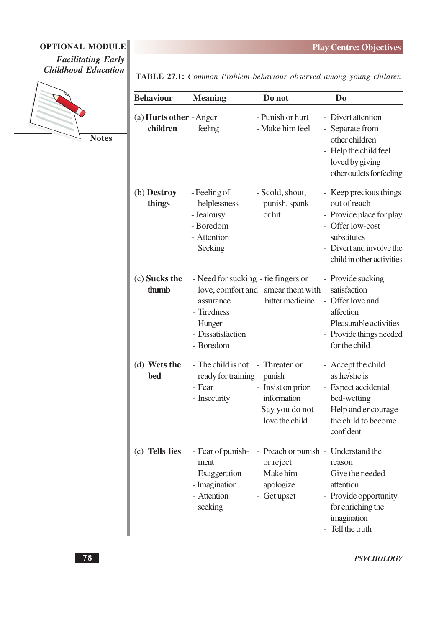### OPTIONAL MODULE **Facilitating Early Childhood Education**



**Notes** 

TABLE 27.1: Common Problem behaviour observed among young children

| <b>Behaviour</b>                           | <b>Meaning</b>                                                                                                | Do not                                                                                     | D <sub>0</sub>                                                                                                                                                 |
|--------------------------------------------|---------------------------------------------------------------------------------------------------------------|--------------------------------------------------------------------------------------------|----------------------------------------------------------------------------------------------------------------------------------------------------------------|
| (a) <b>Hurts other</b> - Anger<br>children | feeling                                                                                                       | - Punish or hurt<br>- Make him feel                                                        | - Divert attention<br>- Separate from<br>other children<br>- Help the child feel<br>loved by giving<br>other outlets for feeling                               |
| (b) Destroy<br>things                      | - Feeling of<br>helplessness<br>- Jealousy<br>- Boredom<br>- Attention<br>Seeking                             | - Scold, shout,<br>punish, spank<br>or hit                                                 | - Keep precious things<br>out of reach<br>- Provide place for play<br>- Offer low-cost<br>substitutes<br>- Divert and involve the<br>child in other activities |
| (c) Sucks the<br>thumb                     | - Need for sucking - tie fingers or<br>assurance<br>- Tiredness<br>- Hunger<br>- Dissatisfaction<br>- Boredom | love, comfort and smear them with<br>bitter medicine                                       | - Provide sucking<br>satisfaction<br>- Offer love and<br>affection<br>- Pleasurable activities<br>- Provide things needed<br>for the child                     |
| (d) Wets the<br><b>bed</b>                 | - The child is not - Threaten or<br>ready for training<br>- Fear<br>- Insecurity                              | punish<br>- Insist on prior<br>information<br>- Say you do not<br>love the child           | - Accept the child<br>as he/she is<br>- Expect accidental<br>bed-wetting<br>- Help and encourage<br>the child to become<br>confident                           |
| (e) Tells lies                             | - Fear of punish-<br>ment<br>- Exaggeration<br>- Imagination<br>- Attention<br>seeking                        | - Preach or punish - Understand the<br>or reject<br>- Make him<br>apologize<br>- Get upset | reason<br>- Give the needed<br>attention<br>- Provide opportunity<br>for enriching the<br>imagination<br>- Tell the truth                                      |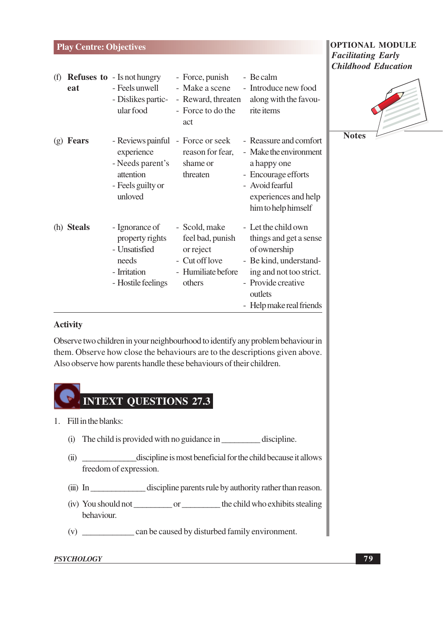| (f) | eat          | <b>Refuses to - Is not hungry</b><br>- Feels unwell<br>- Dislikes partic-<br>ular food            | - Force, punish<br>- Make a scene<br>- Reward, threaten<br>- Force to do the<br>act              | - Be calm<br>- Introduce new food<br>along with the favou-<br>rite items                                                                                                        | $\epsilon$ ni |
|-----|--------------|---------------------------------------------------------------------------------------------------|--------------------------------------------------------------------------------------------------|---------------------------------------------------------------------------------------------------------------------------------------------------------------------------------|---------------|
| (g) | <b>Fears</b> | experience<br>- Needs parent's<br>attention<br>- Feels guilty or<br>unloved                       | - Reviews painful - Force or seek<br>reason for fear,<br>shame or<br>threaten                    | - Reassure and comfort<br>- Make the environment<br>a happy one<br>- Encourage efforts<br>- Avoid fearful<br>experiences and help<br>him to help himself                        |               |
|     | (h) Steals   | - Ignorance of<br>property rights<br>- Unsatisfied<br>needs<br>- Irritation<br>- Hostile feelings | - Scold, make<br>feel bad, punish<br>or reject<br>- Cut off love<br>- Humiliate before<br>others | - Let the child own<br>things and get a sense<br>of ownership<br>- Be kind, understand-<br>ing and not too strict.<br>- Provide creative<br>outlets<br>- Help make real friends |               |

#### **Activity**

Observe two children in your neighbourhood to identify any problem behaviour in them. Observe how close the behaviours are to the descriptions given above. Also observe how parents handle these behaviours of their children.



- 1. Fill in the blanks:
	- (i) The child is provided with no guidance in discipline.
	- (ii) \_\_\_\_\_\_\_\_\_\_\_\_\_\_\_\_\_\_\_\_\_\_\_\_discipline is most beneficial for the child because it allows freedom of expression.
	- (iii) In discipline parents rule by authority rather than reason.
	- behaviour.
	-

#### **PSYCHOLOGY**

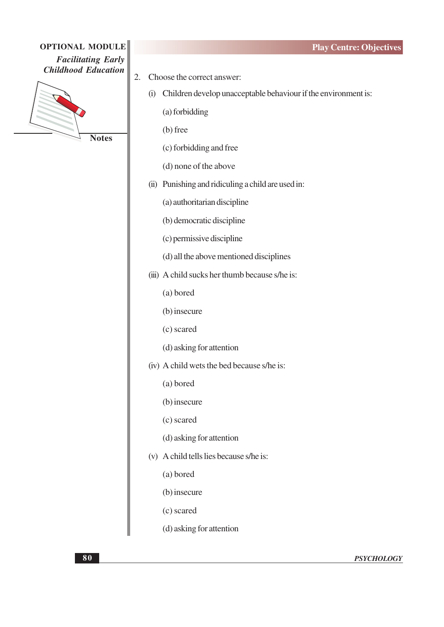

**Notes** 

- Choose the correct answer: 2.
	- (i) Children develop unacceptable behaviour if the environment is:

(a) forbidding

 $(b)$  free

(c) forbidding and free

(d) none of the above

(ii) Punishing and ridiculing a child are used in:

(a) authoritarian discipline

(b) democratic discipline

- (c) permissive discipline
- (d) all the above mentioned disciplines
- (iii) A child sucks her thumb because s/he is:

(a) bored

(b) insecure

(c) scared

(d) asking for attention

(iv) A child wets the bed because s/he is:

(a) bored

(b) insecure

(c) scared

(d) asking for attention

(v) A child tells lies because s/he is:

(a) bored

(b) insecure

(c) scared

(d) asking for attention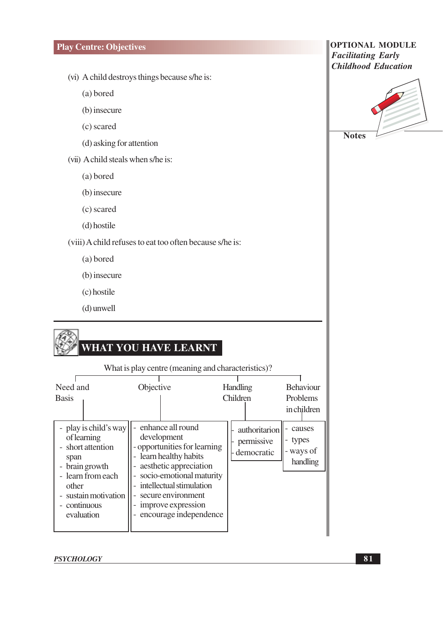- (vi) A child destroys things because s/he is:
	- (a) bored
	- (b) insecure
	- (c) scared
	- (d) asking for attention
- (vii) A child steals when s/he is:
	- (a) bored
	- (b) insecure
	- (c) scared
	- (d) hostile

(viii) A child refuses to eat too often because s/he is:

- (a) bored
- (b) insecure
- (c) hostile
- $(d)$  unwell

# **WHAT YOU HAVE LEARNT**

| What is play centre (meaning and characteristics)?                                                                                                                                  |                                                                                                                                                                                                                                                            |                                           |                                               |  |
|-------------------------------------------------------------------------------------------------------------------------------------------------------------------------------------|------------------------------------------------------------------------------------------------------------------------------------------------------------------------------------------------------------------------------------------------------------|-------------------------------------------|-----------------------------------------------|--|
| Need and<br><b>Basis</b>                                                                                                                                                            | Objective                                                                                                                                                                                                                                                  | <b>Handling</b><br><b>Children</b>        | <b>Behaviour</b><br>Problems<br>in children   |  |
| - play is child's way<br>of learning<br>- short attention<br>span<br>brain growth<br>learn from each<br>other<br>sustain motivation<br>$\overline{a}$<br>- continuous<br>evaluation | - enhance all round<br>development<br>- opportunities for learning<br>- learn healthy habits<br>- aesthetic appreciation<br>- socio-emotional maturity<br>intellectual stimulation<br>secure environment<br>improve expression<br>- encourage independence | authoritarion<br>permissive<br>democratic | causes<br>types<br>-<br>- ways of<br>handling |  |